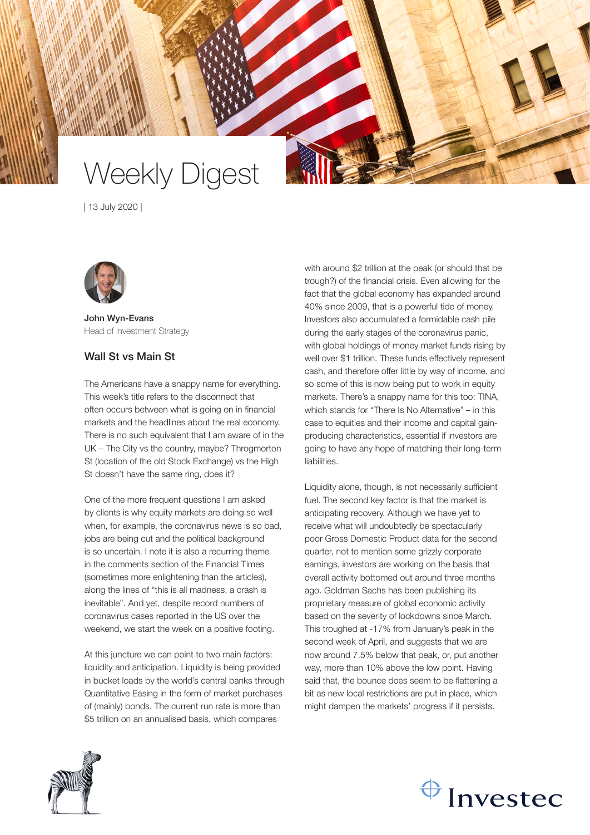

| 13 July 2020 |



John Wyn-Evans Head of Investment Strategy

## Wall St vs Main St

The Americans have a snappy name for everything. This week's title refers to the disconnect that often occurs between what is going on in financial markets and the headlines about the real economy. There is no such equivalent that I am aware of in the UK – The City vs the country, maybe? Throgmorton St (location of the old Stock Exchange) vs the High St doesn't have the same ring, does it?

One of the more frequent questions I am asked by clients is why equity markets are doing so well when, for example, the coronavirus news is so bad, jobs are being cut and the political background is so uncertain. I note it is also a recurring theme in the comments section of the Financial Times (sometimes more enlightening than the articles), along the lines of "this is all madness, a crash is inevitable". And yet, despite record numbers of coronavirus cases reported in the US over the weekend, we start the week on a positive footing.

At this juncture we can point to two main factors: liquidity and anticipation. Liquidity is being provided in bucket loads by the world's central banks through Quantitative Easing in the form of market purchases of (mainly) bonds. The current run rate is more than \$5 trillion on an annualised basis, which compares

with around \$2 trillion at the peak (or should that be trough?) of the financial crisis. Even allowing for the fact that the global economy has expanded around 40% since 2009, that is a powerful tide of money. Investors also accumulated a formidable cash pile during the early stages of the coronavirus panic, with global holdings of money market funds rising by well over \$1 trillion. These funds effectively represent cash, and therefore offer little by way of income, and so some of this is now being put to work in equity markets. There's a snappy name for this too: TINA, which stands for "There Is No Alternative" – in this case to equities and their income and capital gainproducing characteristics, essential if investors are going to have any hope of matching their long-term liabilities.

Liquidity alone, though, is not necessarily sufficient fuel. The second key factor is that the market is anticipating recovery. Although we have yet to receive what will undoubtedly be spectacularly poor Gross Domestic Product data for the second quarter, not to mention some grizzly corporate earnings, investors are working on the basis that overall activity bottomed out around three months ago. Goldman Sachs has been publishing its proprietary measure of global economic activity based on the severity of lockdowns since March. This troughed at -17% from January's peak in the second week of April, and suggests that we are now around 7.5% below that peak, or, put another way, more than 10% above the low point. Having said that, the bounce does seem to be flattening a bit as new local restrictions are put in place, which might dampen the markets' progress if it persists.



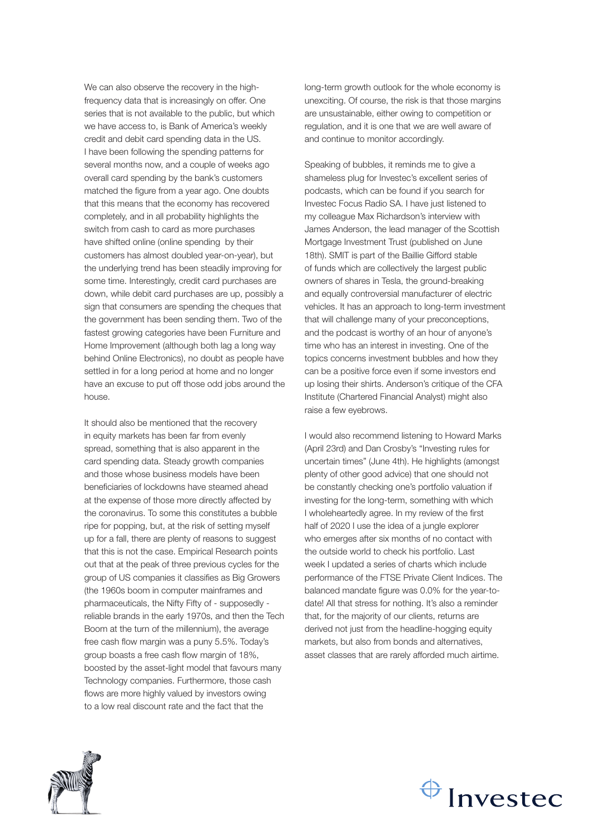We can also observe the recovery in the highfrequency data that is increasingly on offer. One series that is not available to the public, but which we have access to, is Bank of America's weekly credit and debit card spending data in the US. I have been following the spending patterns for several months now, and a couple of weeks ago overall card spending by the bank's customers matched the figure from a year ago. One doubts that this means that the economy has recovered completely, and in all probability highlights the switch from cash to card as more purchases have shifted online (online spending by their customers has almost doubled year-on-year), but the underlying trend has been steadily improving for some time. Interestingly, credit card purchases are down, while debit card purchases are up, possibly a sign that consumers are spending the cheques that the government has been sending them. Two of the fastest growing categories have been Furniture and Home Improvement (although both lag a long way behind Online Electronics), no doubt as people have settled in for a long period at home and no longer have an excuse to put off those odd jobs around the house.

It should also be mentioned that the recovery in equity markets has been far from evenly spread, something that is also apparent in the card spending data. Steady growth companies and those whose business models have been beneficiaries of lockdowns have steamed ahead at the expense of those more directly affected by the coronavirus. To some this constitutes a bubble ripe for popping, but, at the risk of setting myself up for a fall, there are plenty of reasons to suggest that this is not the case. Empirical Research points out that at the peak of three previous cycles for the group of US companies it classifies as Big Growers (the 1960s boom in computer mainframes and pharmaceuticals, the Nifty Fifty of - supposedly reliable brands in the early 1970s, and then the Tech Boom at the turn of the millennium), the average free cash flow margin was a puny 5.5%. Today's group boasts a free cash flow margin of 18%, boosted by the asset-light model that favours many Technology companies. Furthermore, those cash flows are more highly valued by investors owing to a low real discount rate and the fact that the

long-term growth outlook for the whole economy is unexciting. Of course, the risk is that those margins are unsustainable, either owing to competition or regulation, and it is one that we are well aware of and continue to monitor accordingly.

Speaking of bubbles, it reminds me to give a shameless plug for Investec's excellent series of podcasts, which can be found if you search for Investec Focus Radio SA. I have just listened to my colleague Max Richardson's interview with James Anderson, the lead manager of the Scottish Mortgage Investment Trust (published on June 18th). SMIT is part of the Baillie Gifford stable of funds which are collectively the largest public owners of shares in Tesla, the ground-breaking and equally controversial manufacturer of electric vehicles. It has an approach to long-term investment that will challenge many of your preconceptions, and the podcast is worthy of an hour of anyone's time who has an interest in investing. One of the topics concerns investment bubbles and how they can be a positive force even if some investors end up losing their shirts. Anderson's critique of the CFA Institute (Chartered Financial Analyst) might also raise a few eyebrows.

I would also recommend listening to Howard Marks (April 23rd) and Dan Crosby's "Investing rules for uncertain times" (June 4th). He highlights (amongst plenty of other good advice) that one should not be constantly checking one's portfolio valuation if investing for the long-term, something with which I wholeheartedly agree. In my review of the first half of 2020 I use the idea of a jungle explorer who emerges after six months of no contact with the outside world to check his portfolio. Last week I updated a series of charts which include performance of the FTSE Private Client Indices. The balanced mandate figure was 0.0% for the year-todate! All that stress for nothing. It's also a reminder that, for the majority of our clients, returns are derived not just from the headline-hogging equity markets, but also from bonds and alternatives, asset classes that are rarely afforded much airtime.